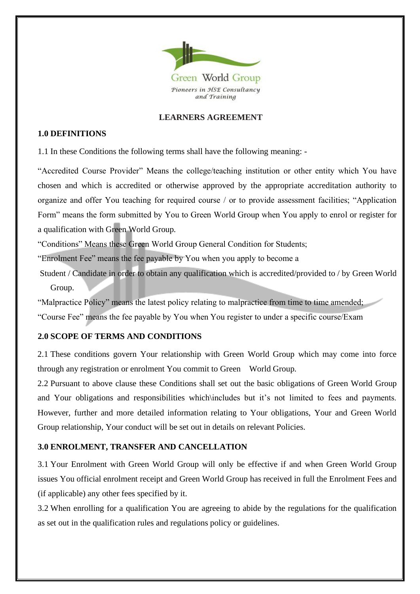

### **LEARNERS AGREEMENT**

### **1.0 DEFINITIONS**

1.1 In these Conditions the following terms shall have the following meaning: -

"Accredited Course Provider" Means the college/teaching institution or other entity which You have chosen and which is accredited or otherwise approved by the appropriate accreditation authority to organize and offer You teaching for required course / or to provide assessment facilities; "Application Form" means the form submitted by You to Green World Group when You apply to enrol or register for a qualification with Green World Group.

"Conditions" Means these Green World Group General Condition for Students;

"Enrolment Fee" means the fee payable by You when you apply to become a

Student / Candidate in order to obtain any qualification which is accredited/provided to / by Green World Group.

"Malpractice Policy" means the latest policy relating to malpractice from time to time amended;

"Course Fee" means the fee payable by You when You register to under a specific course/Exam

## **2.0 SCOPE OF TERMS AND CONDITIONS**

2.1 These conditions govern Your relationship with Green World Group which may come into force through any registration or enrolment You commit to Green World Group.

2.2 Pursuant to above clause these Conditions shall set out the basic obligations of Green World Group and Your obligations and responsibilities which\includes but it's not limited to fees and payments. However, further and more detailed information relating to Your obligations, Your and Green World Group relationship, Your conduct will be set out in details on relevant Policies.

# **3.0 ENROLMENT, TRANSFER AND CANCELLATION**

3.1 Your Enrolment with Green World Group will only be effective if and when Green World Group issues You official enrolment receipt and Green World Group has received in full the Enrolment Fees and (if applicable) any other fees specified by it.

3.2 When enrolling for a qualification You are agreeing to abide by the regulations for the qualification as set out in the qualification rules and regulations policy or guidelines.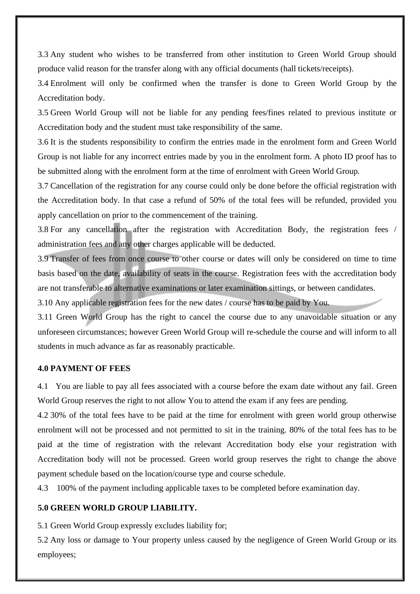3.3 Any student who wishes to be transferred from other institution to Green World Group should produce valid reason for the transfer along with any official documents (hall tickets/receipts).

3.4 Enrolment will only be confirmed when the transfer is done to Green World Group by the Accreditation body.

3.5 Green World Group will not be liable for any pending fees/fines related to previous institute or Accreditation body and the student must take responsibility of the same.

3.6 It is the students responsibility to confirm the entries made in the enrolment form and Green World Group is not liable for any incorrect entries made by you in the enrolment form. A photo ID proof has to be submitted along with the enrolment form at the time of enrolment with Green World Group.

3.7 Cancellation of the registration for any course could only be done before the official registration with the Accreditation body. In that case a refund of 50% of the total fees will be refunded, provided you apply cancellation on prior to the commencement of the training.

3.8 For any cancellation after the registration with Accreditation Body, the registration fees / administration fees and any other charges applicable will be deducted.

3.9 Transfer of fees from once course to other course or dates will only be considered on time to time basis based on the date, availability of seats in the course. Registration fees with the accreditation body are not transferable to alternative examinations or later examination sittings, or between candidates.

3.10 Any applicable registration fees for the new dates / course has to be paid by You.

3.11 Green World Group has the right to cancel the course due to any unavoidable situation or any unforeseen circumstances; however Green World Group will re-schedule the course and will inform to all students in much advance as far as reasonably practicable.

#### **4.0 PAYMENT OF FEES**

4.1 You are liable to pay all fees associated with a course before the exam date without any fail. Green World Group reserves the right to not allow You to attend the exam if any fees are pending.

4.2 30% of the total fees have to be paid at the time for enrolment with green world group otherwise enrolment will not be processed and not permitted to sit in the training. 80% of the total fees has to be paid at the time of registration with the relevant Accreditation body else your registration with Accreditation body will not be processed. Green world group reserves the right to change the above payment schedule based on the location/course type and course schedule.

4.3 100% of the payment including applicable taxes to be completed before examination day.

### **5.0 GREEN WORLD GROUP LIABILITY.**

5.1 Green World Group expressly excludes liability for;

5.2 Any loss or damage to Your property unless caused by the negligence of Green World Group or its employees;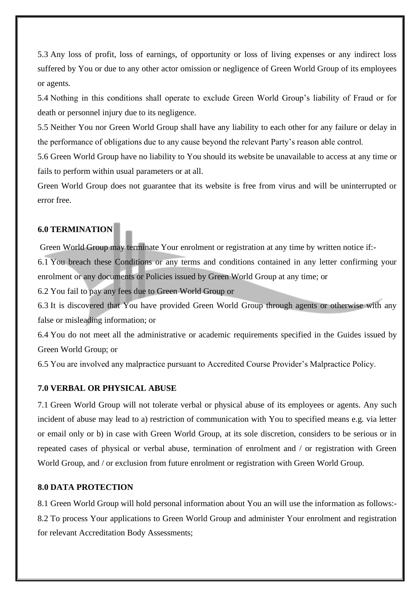5.3 Any loss of profit, loss of earnings, of opportunity or loss of living expenses or any indirect loss suffered by You or due to any other actor omission or negligence of Green World Group of its employees or agents.

5.4 Nothing in this conditions shall operate to exclude Green World Group's liability of Fraud or for death or personnel injury due to its negligence.

5.5 Neither You nor Green World Group shall have any liability to each other for any failure or delay in the performance of obligations due to any cause beyond the relevant Party's reason able control.

5.6 Green World Group have no liability to You should its website be unavailable to access at any time or fails to perform within usual parameters or at all.

Green World Group does not guarantee that its website is free from virus and will be uninterrupted or error free.

# **6.0 TERMINATION**

Green World Group may terminate Your enrolment or registration at any time by written notice if:-

6.1 You breach these Conditions or any terms and conditions contained in any letter confirming your enrolment or any documents or Policies issued by Green World Group at any time; or

6.2 You fail to pay any fees due to Green World Group or

6.3 It is discovered that You have provided Green World Group through agents or otherwise with any false or misleading information; or

6.4 You do not meet all the administrative or academic requirements specified in the Guides issued by Green World Group; or

6.5 You are involved any malpractice pursuant to Accredited Course Provider's Malpractice Policy.

# **7.0 VERBAL OR PHYSICAL ABUSE**

7.1 Green World Group will not tolerate verbal or physical abuse of its employees or agents. Any such incident of abuse may lead to a) restriction of communication with You to specified means e.g. via letter or email only or b) in case with Green World Group, at its sole discretion, considers to be serious or in repeated cases of physical or verbal abuse, termination of enrolment and / or registration with Green World Group, and / or exclusion from future enrolment or registration with Green World Group.

# **8.0 DATA PROTECTION**

8.1 Green World Group will hold personal information about You an will use the information as follows:- 8.2 To process Your applications to Green World Group and administer Your enrolment and registration for relevant Accreditation Body Assessments;